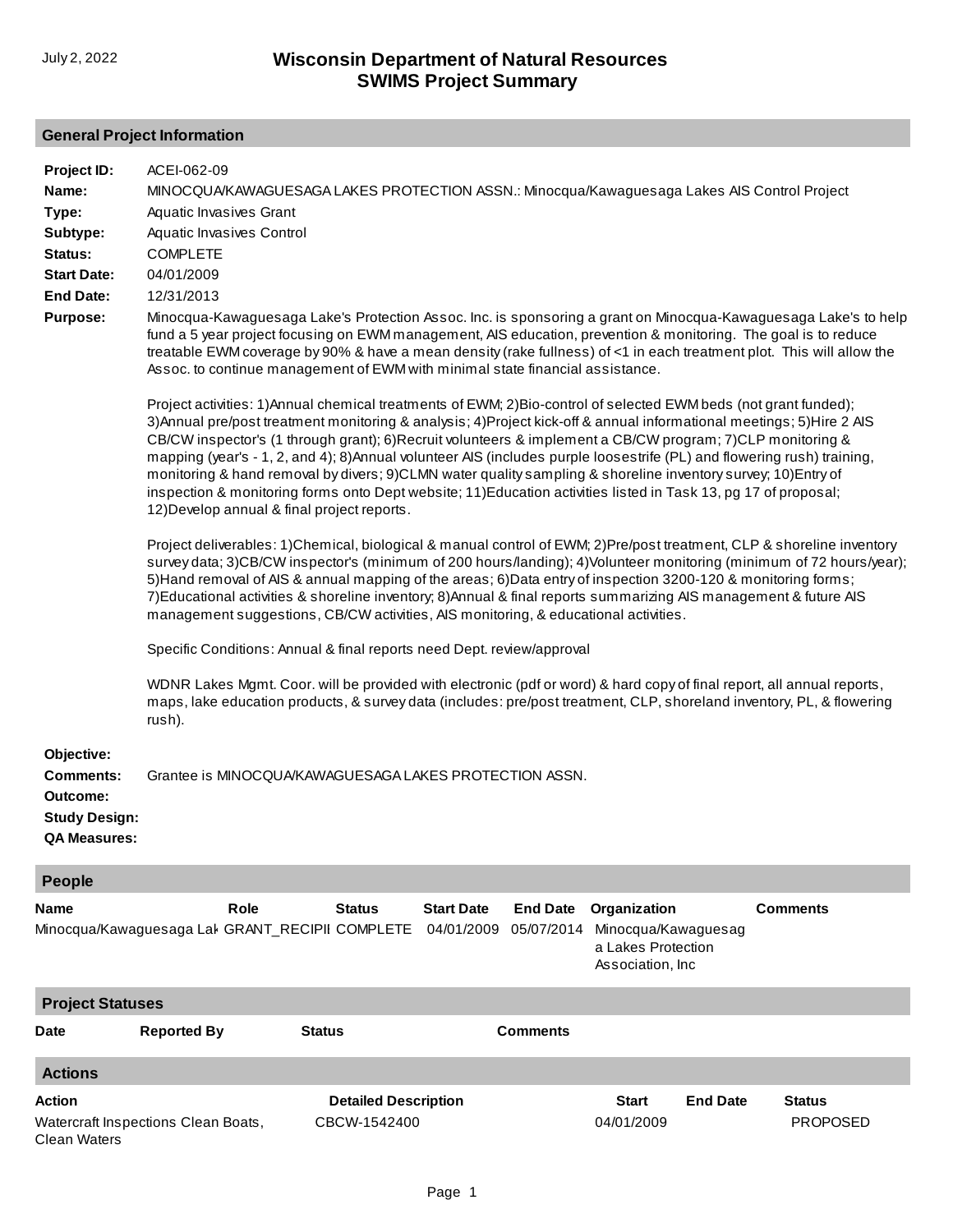# **General Project Information**

| Project ID:                                                                               | ACEI-062-09                                                                                                                                                                                                                                                                                                                                                                                                                                                                                                                                                                                                                                                                                                                                                           |                                             |                                 |                               |                                                                                |                 |                                  |
|-------------------------------------------------------------------------------------------|-----------------------------------------------------------------------------------------------------------------------------------------------------------------------------------------------------------------------------------------------------------------------------------------------------------------------------------------------------------------------------------------------------------------------------------------------------------------------------------------------------------------------------------------------------------------------------------------------------------------------------------------------------------------------------------------------------------------------------------------------------------------------|---------------------------------------------|---------------------------------|-------------------------------|--------------------------------------------------------------------------------|-----------------|----------------------------------|
| Name:                                                                                     | MINOCQUA/KAWAGUESAGA LAKES PROTECTION ASSN.: Minocqua/Kawaguesaga Lakes AIS Control Project                                                                                                                                                                                                                                                                                                                                                                                                                                                                                                                                                                                                                                                                           |                                             |                                 |                               |                                                                                |                 |                                  |
| Type:                                                                                     | Aquatic Invasives Grant                                                                                                                                                                                                                                                                                                                                                                                                                                                                                                                                                                                                                                                                                                                                               |                                             |                                 |                               |                                                                                |                 |                                  |
| Subtype:                                                                                  | Aquatic Invasives Control                                                                                                                                                                                                                                                                                                                                                                                                                                                                                                                                                                                                                                                                                                                                             |                                             |                                 |                               |                                                                                |                 |                                  |
| Status:                                                                                   | <b>COMPLETE</b>                                                                                                                                                                                                                                                                                                                                                                                                                                                                                                                                                                                                                                                                                                                                                       |                                             |                                 |                               |                                                                                |                 |                                  |
| <b>Start Date:</b>                                                                        | 04/01/2009                                                                                                                                                                                                                                                                                                                                                                                                                                                                                                                                                                                                                                                                                                                                                            |                                             |                                 |                               |                                                                                |                 |                                  |
| <b>End Date:</b>                                                                          | 12/31/2013                                                                                                                                                                                                                                                                                                                                                                                                                                                                                                                                                                                                                                                                                                                                                            |                                             |                                 |                               |                                                                                |                 |                                  |
| <b>Purpose:</b>                                                                           |                                                                                                                                                                                                                                                                                                                                                                                                                                                                                                                                                                                                                                                                                                                                                                       |                                             |                                 |                               |                                                                                |                 |                                  |
|                                                                                           | Minocqua-Kawaguesaga Lake's Protection Assoc. Inc. is sponsoring a grant on Minocqua-Kawaguesaga Lake's to help<br>fund a 5 year project focusing on EWM management, AIS education, prevention & monitoring. The goal is to reduce<br>treatable EWM coverage by 90% & have a mean density (rake fullness) of <1 in each treatment plot. This will allow the<br>Assoc. to continue management of EWM with minimal state financial assistance.                                                                                                                                                                                                                                                                                                                          |                                             |                                 |                               |                                                                                |                 |                                  |
|                                                                                           | Project activities: 1)Annual chemical treatments of EWM; 2)Bio-control of selected EWM beds (not grant funded);<br>3) Annual pre/post treatment monitoring & analysis; 4) Project kick-off & annual informational meetings; 5) Hire 2 AIS<br>CB/CW inspector's (1 through grant); 6) Recruit volunteers & implement a CB/CW program; 7) CLP monitoring &<br>mapping (year's - 1, 2, and 4); 8) Annual volunteer AIS (includes purple loosestrife (PL) and flowering rush) training,<br>monitoring & hand removal by divers; 9)CLMN water quality sampling & shoreline inventory survey; 10)Entry of<br>inspection & monitoring forms onto Dept website; 11) Education activities listed in Task 13, pg 17 of proposal;<br>12) Develop annual & final project reports. |                                             |                                 |                               |                                                                                |                 |                                  |
|                                                                                           | Project deliverables: 1)Chemical, biological & manual control of EWM; 2)Pre/post treatment, CLP & shoreline inventory<br>survey data; 3)CB/CW inspector's (minimum of 200 hours/landing); 4)Volunteer monitoring (minimum of 72 hours/year);<br>5) Hand removal of AIS & annual mapping of the areas; 6) Data entry of inspection 3200-120 & monitoring forms;<br>7) Educational activities & shoreline inventory; 8) Annual & final reports summarizing AIS management & future AIS<br>management suggestions, CB/CW activities, AIS monitoring, & educational activities.<br>Specific Conditions: Annual & final reports need Dept. review/approval                                                                                                                 |                                             |                                 |                               |                                                                                |                 |                                  |
|                                                                                           |                                                                                                                                                                                                                                                                                                                                                                                                                                                                                                                                                                                                                                                                                                                                                                       |                                             |                                 |                               |                                                                                |                 |                                  |
|                                                                                           | WDNR Lakes Mgmt. Coor. will be provided with electronic (pdf or word) & hard copy of final report, all annual reports,<br>maps, lake education products, & survey data (includes: pre/post treatment, CLP, shoreland inventory, PL, & flowering<br>rush).                                                                                                                                                                                                                                                                                                                                                                                                                                                                                                             |                                             |                                 |                               |                                                                                |                 |                                  |
| Objective:<br><b>Comments:</b><br>Outcome:<br><b>Study Design:</b><br><b>QA Measures:</b> | Grantee is MINOCQUA/KAWAGUESAGA LAKES PROTECTION ASSN.                                                                                                                                                                                                                                                                                                                                                                                                                                                                                                                                                                                                                                                                                                                |                                             |                                 |                               |                                                                                |                 |                                  |
| People                                                                                    |                                                                                                                                                                                                                                                                                                                                                                                                                                                                                                                                                                                                                                                                                                                                                                       |                                             |                                 |                               |                                                                                |                 |                                  |
| Name                                                                                      | Role<br>Minocqua/Kawaguesaga Lal GRANT_RECIPII COMPLETE                                                                                                                                                                                                                                                                                                                                                                                                                                                                                                                                                                                                                                                                                                               | <b>Status</b>                               | <b>Start Date</b><br>04/01/2009 | <b>End Date</b><br>05/07/2014 | Organization<br>Minocqua/Kawaguesag<br>a Lakes Protection<br>Association, Inc. |                 | <b>Comments</b>                  |
| <b>Project Statuses</b>                                                                   |                                                                                                                                                                                                                                                                                                                                                                                                                                                                                                                                                                                                                                                                                                                                                                       |                                             |                                 |                               |                                                                                |                 |                                  |
| Date                                                                                      | <b>Reported By</b>                                                                                                                                                                                                                                                                                                                                                                                                                                                                                                                                                                                                                                                                                                                                                    | <b>Status</b>                               |                                 | <b>Comments</b>               |                                                                                |                 |                                  |
| <b>Actions</b>                                                                            |                                                                                                                                                                                                                                                                                                                                                                                                                                                                                                                                                                                                                                                                                                                                                                       |                                             |                                 |                               |                                                                                |                 |                                  |
| Action<br><b>Clean Waters</b>                                                             | Watercraft Inspections Clean Boats,                                                                                                                                                                                                                                                                                                                                                                                                                                                                                                                                                                                                                                                                                                                                   | <b>Detailed Description</b><br>CBCW-1542400 |                                 |                               | <b>Start</b><br>04/01/2009                                                     | <b>End Date</b> | <b>Status</b><br><b>PROPOSED</b> |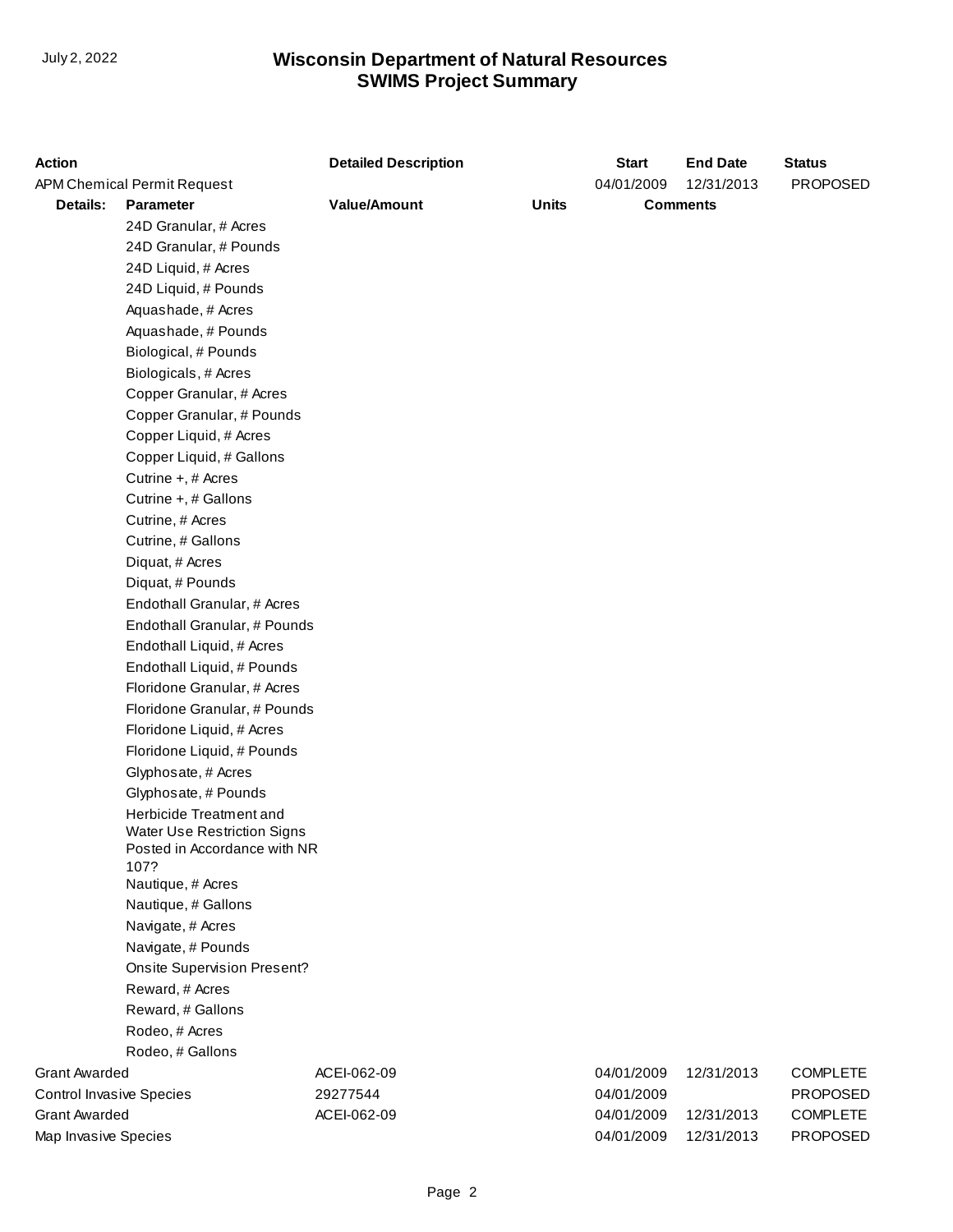# **SWIMS Project Summary** July 2, 2022 **Wisconsin Department of Natural Resources**

| <b>Action</b>                   |                                      | <b>Detailed Description</b>         |  | <b>Start</b>    | <b>End Date</b> | <b>Status</b>   |
|---------------------------------|--------------------------------------|-------------------------------------|--|-----------------|-----------------|-----------------|
| APM Chemical Permit Request     |                                      |                                     |  | 04/01/2009      | 12/31/2013      | <b>PROPOSED</b> |
| Details:<br><b>Parameter</b>    |                                      | <b>Value/Amount</b><br><b>Units</b> |  | <b>Comments</b> |                 |                 |
|                                 | 24D Granular, # Acres                |                                     |  |                 |                 |                 |
|                                 | 24D Granular, # Pounds               |                                     |  |                 |                 |                 |
|                                 | 24D Liquid, # Acres                  |                                     |  |                 |                 |                 |
|                                 | 24D Liquid, # Pounds                 |                                     |  |                 |                 |                 |
|                                 | Aquashade, # Acres                   |                                     |  |                 |                 |                 |
|                                 | Aquashade, # Pounds                  |                                     |  |                 |                 |                 |
|                                 | Biological, # Pounds                 |                                     |  |                 |                 |                 |
|                                 | Biologicals, # Acres                 |                                     |  |                 |                 |                 |
|                                 | Copper Granular, # Acres             |                                     |  |                 |                 |                 |
|                                 | Copper Granular, # Pounds            |                                     |  |                 |                 |                 |
|                                 | Copper Liquid, # Acres               |                                     |  |                 |                 |                 |
|                                 | Copper Liquid, # Gallons             |                                     |  |                 |                 |                 |
|                                 | Cutrine +, # Acres                   |                                     |  |                 |                 |                 |
|                                 | Cutrine +, # Gallons                 |                                     |  |                 |                 |                 |
|                                 | Cutrine, # Acres                     |                                     |  |                 |                 |                 |
|                                 | Cutrine, # Gallons                   |                                     |  |                 |                 |                 |
|                                 | Diquat, # Acres                      |                                     |  |                 |                 |                 |
|                                 | Diquat, # Pounds                     |                                     |  |                 |                 |                 |
|                                 | Endothall Granular, # Acres          |                                     |  |                 |                 |                 |
|                                 | Endothall Granular, # Pounds         |                                     |  |                 |                 |                 |
|                                 | Endothall Liquid, # Acres            |                                     |  |                 |                 |                 |
|                                 | Endothall Liquid, # Pounds           |                                     |  |                 |                 |                 |
|                                 | Floridone Granular, # Acres          |                                     |  |                 |                 |                 |
|                                 | Floridone Granular, # Pounds         |                                     |  |                 |                 |                 |
|                                 | Floridone Liquid, # Acres            |                                     |  |                 |                 |                 |
|                                 | Floridone Liquid, # Pounds           |                                     |  |                 |                 |                 |
|                                 | Glyphosate, # Acres                  |                                     |  |                 |                 |                 |
|                                 | Glyphosate, # Pounds                 |                                     |  |                 |                 |                 |
|                                 | Herbicide Treatment and              |                                     |  |                 |                 |                 |
|                                 | <b>Water Use Restriction Signs</b>   |                                     |  |                 |                 |                 |
|                                 | Posted in Accordance with NR<br>107? |                                     |  |                 |                 |                 |
|                                 | Nautique, # Acres                    |                                     |  |                 |                 |                 |
|                                 | Nautique, # Gallons                  |                                     |  |                 |                 |                 |
|                                 | Navigate, # Acres                    |                                     |  |                 |                 |                 |
|                                 | Navigate, # Pounds                   |                                     |  |                 |                 |                 |
|                                 | <b>Onsite Supervision Present?</b>   |                                     |  |                 |                 |                 |
|                                 | Reward, # Acres                      |                                     |  |                 |                 |                 |
|                                 | Reward, # Gallons                    |                                     |  |                 |                 |                 |
|                                 | Rodeo, # Acres                       |                                     |  |                 |                 |                 |
|                                 | Rodeo, # Gallons                     |                                     |  |                 |                 |                 |
| <b>Grant Awarded</b>            |                                      | ACEI-062-09                         |  | 04/01/2009      | 12/31/2013      | <b>COMPLETE</b> |
| <b>Control Invasive Species</b> |                                      | 29277544                            |  | 04/01/2009      |                 | <b>PROPOSED</b> |
| <b>Grant Awarded</b>            |                                      | ACEI-062-09                         |  | 04/01/2009      | 12/31/2013      | <b>COMPLETE</b> |
| Map Invasive Species            |                                      |                                     |  | 04/01/2009      | 12/31/2013      | PROPOSED        |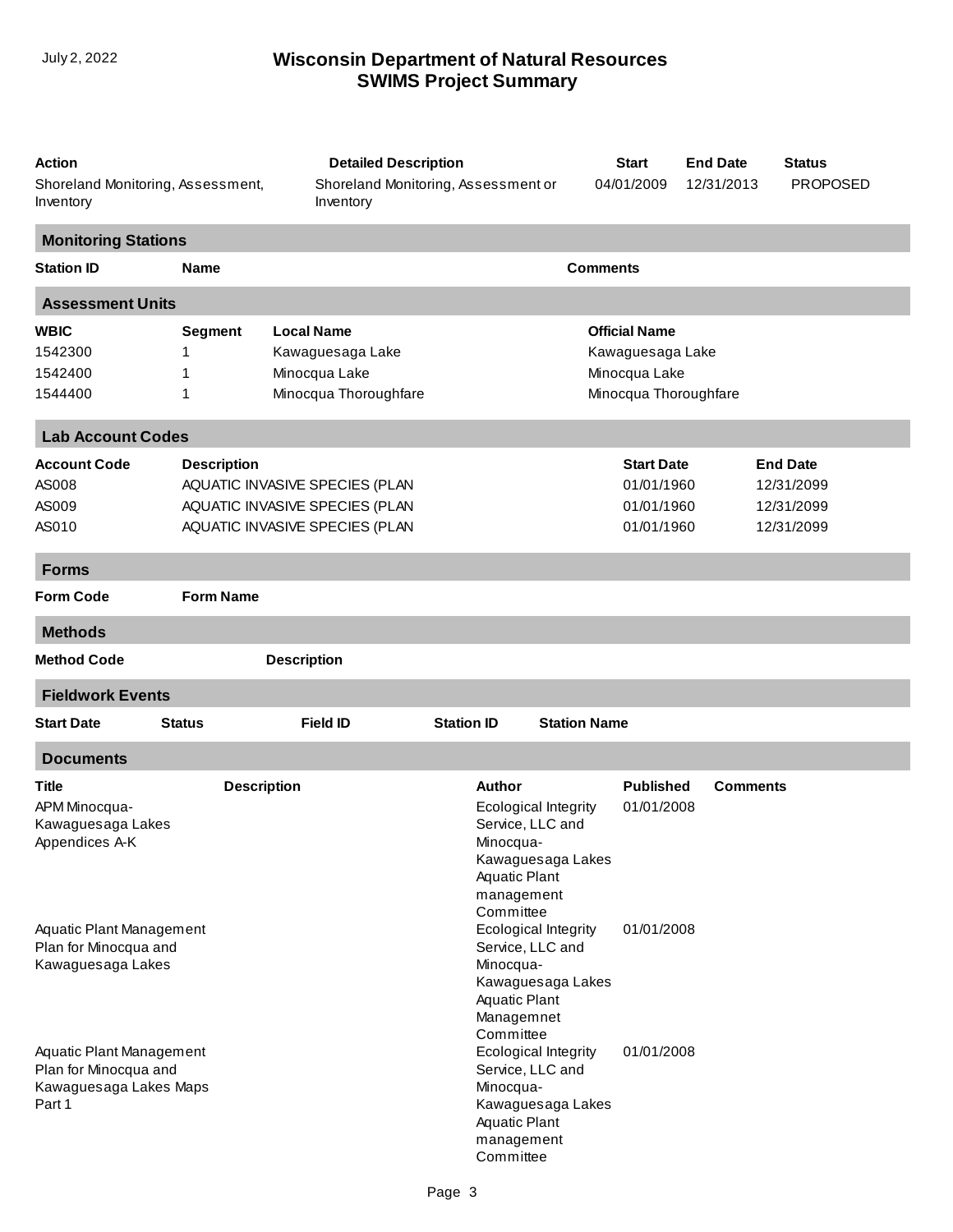### **SWIMS Project Summary** July 2, 2022 **Wisconsin Department of Natural Resources**

| Action<br>Shoreland Monitoring, Assessment,<br>Inventory                                                                                                        |                               | <b>Detailed Description</b><br>Shoreland Monitoring, Assessment or<br>Inventory                    |                                                                                                                                                                                                             | <b>Start</b><br>04/01/2009                                  | <b>End Date</b><br>12/31/2013 | <b>Status</b><br><b>PROPOSED</b>                          |
|-----------------------------------------------------------------------------------------------------------------------------------------------------------------|-------------------------------|----------------------------------------------------------------------------------------------------|-------------------------------------------------------------------------------------------------------------------------------------------------------------------------------------------------------------|-------------------------------------------------------------|-------------------------------|-----------------------------------------------------------|
| <b>Monitoring Stations</b>                                                                                                                                      |                               |                                                                                                    |                                                                                                                                                                                                             |                                                             |                               |                                                           |
| <b>Station ID</b>                                                                                                                                               | <b>Name</b>                   |                                                                                                    |                                                                                                                                                                                                             | <b>Comments</b>                                             |                               |                                                           |
| <b>Assessment Units</b>                                                                                                                                         |                               |                                                                                                    |                                                                                                                                                                                                             |                                                             |                               |                                                           |
| <b>WBIC</b><br>1542300<br>1542400<br>1544400                                                                                                                    | <b>Segment</b><br>1<br>1<br>1 | <b>Local Name</b><br>Kawaguesaga Lake<br>Minocqua Lake<br>Minocqua Thoroughfare                    | <b>Official Name</b><br>Kawaguesaga Lake<br>Minocqua Lake<br>Minocqua Thoroughfare                                                                                                                          |                                                             |                               |                                                           |
| <b>Lab Account Codes</b>                                                                                                                                        |                               |                                                                                                    |                                                                                                                                                                                                             |                                                             |                               |                                                           |
| <b>Account Code</b><br>AS008<br>AS009<br>AS010                                                                                                                  | <b>Description</b>            | AQUATIC INVASIVE SPECIES (PLAN<br>AQUATIC INVASIVE SPECIES (PLAN<br>AQUATIC INVASIVE SPECIES (PLAN |                                                                                                                                                                                                             | <b>Start Date</b><br>01/01/1960<br>01/01/1960<br>01/01/1960 |                               | <b>End Date</b><br>12/31/2099<br>12/31/2099<br>12/31/2099 |
| <b>Forms</b>                                                                                                                                                    |                               |                                                                                                    |                                                                                                                                                                                                             |                                                             |                               |                                                           |
| <b>Form Code</b>                                                                                                                                                | <b>Form Name</b>              |                                                                                                    |                                                                                                                                                                                                             |                                                             |                               |                                                           |
| <b>Methods</b>                                                                                                                                                  |                               |                                                                                                    |                                                                                                                                                                                                             |                                                             |                               |                                                           |
| <b>Method Code</b>                                                                                                                                              |                               | <b>Description</b>                                                                                 |                                                                                                                                                                                                             |                                                             |                               |                                                           |
| <b>Fieldwork Events</b>                                                                                                                                         |                               |                                                                                                    |                                                                                                                                                                                                             |                                                             |                               |                                                           |
| <b>Start Date</b>                                                                                                                                               | <b>Status</b>                 | <b>Field ID</b>                                                                                    | <b>Station ID</b>                                                                                                                                                                                           | <b>Station Name</b>                                         |                               |                                                           |
| <b>Documents</b>                                                                                                                                                |                               |                                                                                                    |                                                                                                                                                                                                             |                                                             |                               |                                                           |
| <b>Title</b><br>APM Minocqua-<br>Kawaguesaga Lakes<br>Appendices A-K                                                                                            | <b>Description</b>            |                                                                                                    | Author<br>Ecological Integrity<br>Service, LLC and<br>Minocqua-<br>Kawaguesaga Lakes<br><b>Aquatic Plant</b><br>management<br>Committee                                                                     | <b>Published</b><br>01/01/2008                              | <b>Comments</b>               |                                                           |
| Aquatic Plant Management<br>Plan for Minocqua and<br>Kawaguesaga Lakes<br>Aquatic Plant Management<br>Plan for Minocqua and<br>Kawaguesaga Lakes Maps<br>Part 1 |                               |                                                                                                    | Ecological Integrity<br>Service, LLC and<br>Minocqua-<br>Kawaguesaga Lakes<br><b>Aquatic Plant</b><br>Managemnet<br>Committee<br>Ecological Integrity<br>Service, LLC and<br>Minocqua-<br>Kawaguesaga Lakes | 01/01/2008<br>01/01/2008                                    |                               |                                                           |
|                                                                                                                                                                 |                               |                                                                                                    | Aquatic Plant<br>management<br>Committee                                                                                                                                                                    |                                                             |                               |                                                           |